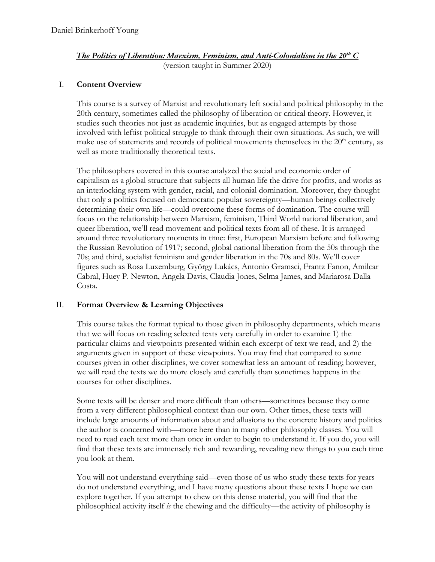# *The Politics of Liberation: Marxism, Feminism, and Anti-Colonialism in the 20th C* (version taught in Summer 2020)

# I. **Content Overview**

This course is a survey of Marxist and revolutionary left social and political philosophy in the 20th century, sometimes called the philosophy of liberation or critical theory. However, it studies such theories not just as academic inquiries, but as engaged attempts by those involved with leftist political struggle to think through their own situations. As such, we will make use of statements and records of political movements themselves in the  $20<sup>th</sup>$  century, as well as more traditionally theoretical texts.

The philosophers covered in this course analyzed the social and economic order of capitalism as a global structure that subjects all human life the drive for profits, and works as an interlocking system with gender, racial, and colonial domination. Moreover, they thought that only a politics focused on democratic popular sovereignty—human beings collectively determining their own life—could overcome these forms of domination. The course will focus on the relationship between Marxism, feminism, Third World national liberation, and queer liberation, we'll read movement and political texts from all of these. It is arranged around three revolutionary moments in time: first, European Marxism before and following the Russian Revolution of 1917; second, global national liberation from the 50s through the 70s; and third, socialist feminism and gender liberation in the 70s and 80s. We'll cover figures such as Rosa Luxemburg, György Lukács, Antonio Gramsci, Frantz Fanon, Amilcar Cabral, Huey P. Newton, Angela Davis, Claudia Jones, Selma James, and Mariarosa Dalla Costa.

# II. **Format Overview & Learning Objectives**

This course takes the format typical to those given in philosophy departments, which means that we will focus on reading selected texts very carefully in order to examine 1) the particular claims and viewpoints presented within each excerpt of text we read, and 2) the arguments given in support of these viewpoints. You may find that compared to some courses given in other disciplines, we cover somewhat less an amount of reading; however, we will read the texts we do more closely and carefully than sometimes happens in the courses for other disciplines.

Some texts will be denser and more difficult than others—sometimes because they come from a very different philosophical context than our own. Other times, these texts will include large amounts of information about and allusions to the concrete history and politics the author is concerned with—more here than in many other philosophy classes. You will need to read each text more than once in order to begin to understand it. If you do, you will find that these texts are immensely rich and rewarding, revealing new things to you each time you look at them.

You will not understand everything said—even those of us who study these texts for years do not understand everything, and I have many questions about these texts I hope we can explore together. If you attempt to chew on this dense material, you will find that the philosophical activity itself *is* the chewing and the difficulty—the activity of philosophy is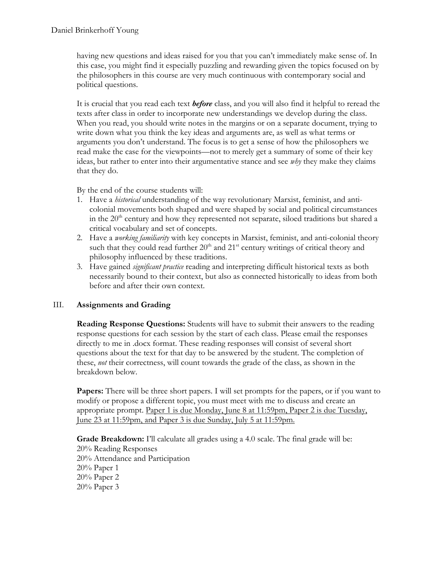having new questions and ideas raised for you that you can't immediately make sense of. In this case, you might find it especially puzzling and rewarding given the topics focused on by the philosophers in this course are very much continuous with contemporary social and political questions.

It is crucial that you read each text *before* class, and you will also find it helpful to reread the texts after class in order to incorporate new understandings we develop during the class. When you read, you should write notes in the margins or on a separate document, trying to write down what you think the key ideas and arguments are, as well as what terms or arguments you don't understand. The focus is to get a sense of how the philosophers we read make the case for the viewpoints—not to merely get a summary of some of their key ideas, but rather to enter into their argumentative stance and see *why* they make they claims that they do.

By the end of the course students will:

- 1. Have a *historical* understanding of the way revolutionary Marxist, feminist, and anticolonial movements both shaped and were shaped by social and political circumstances in the 20<sup>th</sup> century and how they represented not separate, siloed traditions but shared a critical vocabulary and set of concepts.
- 2. Have a *working familiarity* with key concepts in Marxist, feminist, and anti-colonial theory such that they could read further  $20<sup>th</sup>$  and  $21<sup>st</sup>$  century writings of critical theory and philosophy influenced by these traditions.
- 3. Have gained *significant practice* reading and interpreting difficult historical texts as both necessarily bound to their context, but also as connected historically to ideas from both before and after their own context.

# III. **Assignments and Grading**

**Reading Response Questions:** Students will have to submit their answers to the reading response questions for each session by the start of each class. Please email the responses directly to me in .docx format. These reading responses will consist of several short questions about the text for that day to be answered by the student. The completion of these, *not* their correctness, will count towards the grade of the class, as shown in the breakdown below.

**Papers:** There will be three short papers. I will set prompts for the papers, or if you want to modify or propose a different topic, you must meet with me to discuss and create an appropriate prompt. Paper 1 is due Monday, June 8 at 11:59pm, Paper 2 is due Tuesday, June 23 at 11:59pm, and Paper 3 is due Sunday, July 5 at 11:59pm.

**Grade Breakdown:** I'll calculate all grades using a 4.0 scale. The final grade will be: 20% Reading Responses 20% Attendance and Participation 20% Paper 1 20% Paper 2 20% Paper 3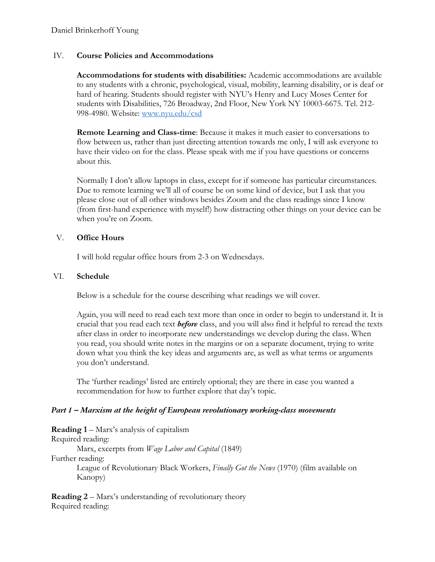# IV. **Course Policies and Accommodations**

**Accommodations for students with disabilities:** Academic accommodations are available to any students with a chronic, psychological, visual, mobility, learning disability, or is deaf or hard of hearing. Students should register with NYU's Henry and Lucy Moses Center for students with Disabilities, 726 Broadway, 2nd Floor, New York NY 10003-6675. Tel. 212- 998-4980. Website: www.nyu.edu/csd

**Remote Learning and Class-time**: Because it makes it much easier to conversations to flow between us, rather than just directing attention towards me only, I will ask everyone to have their video on for the class. Please speak with me if you have questions or concerns about this.

Normally I don't allow laptops in class, except for if someone has particular circumstances. Due to remote learning we'll all of course be on some kind of device, but I ask that you please close out of all other windows besides Zoom and the class readings since I know (from first-hand experience with myself!) how distracting other things on your device can be when you're on Zoom.

# V. **Office Hours**

I will hold regular office hours from 2-3 on Wednesdays.

# VI. **Schedule**

Below is a schedule for the course describing what readings we will cover.

Again, you will need to read each text more than once in order to begin to understand it. It is crucial that you read each text *before* class, and you will also find it helpful to reread the texts after class in order to incorporate new understandings we develop during the class. When you read, you should write notes in the margins or on a separate document, trying to write down what you think the key ideas and arguments are, as well as what terms or arguments you don't understand.

The 'further readings' listed are entirely optional; they are there in case you wanted a recommendation for how to further explore that day's topic.

# *Part 1 – Marxism at the height of European revolutionary working-class movements*

**Reading 1** – Marx's analysis of capitalism Required reading: Marx, excerpts from *Wage Labor and Capital* (1849) Further reading: League of Revolutionary Black Workers, *Finally Got the News* (1970) (film available on Kanopy)

**Reading 2** – Marx's understanding of revolutionary theory Required reading: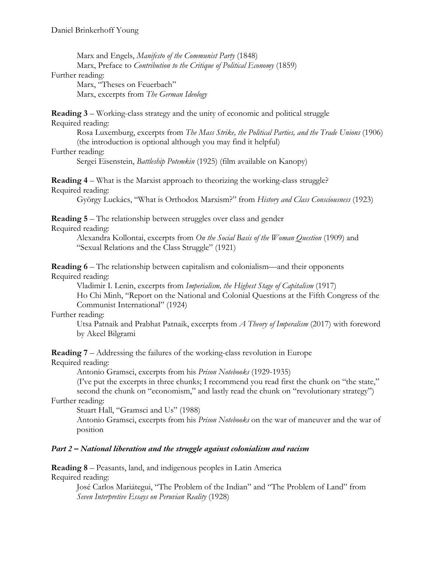Marx and Engels, *Manifesto of the Communist Party* (1848) Marx, Preface to *Contribution to the Critique of Political Economy* (1859)

#### Further reading:

Marx, "Theses on Feuerbach" Marx, excerpts from *The German Ideology*

#### **Reading 3** – Working-class strategy and the unity of economic and political struggle Required reading:

Rosa Luxemburg, excerpts from *The Mass Strike, the Political Parties, and the Trade Unions* (1906) (the introduction is optional although you may find it helpful)

### Further reading:

Sergei Eisenstein, *Battleship Potemkin* (1925) (film available on Kanopy)

### **Reading 4** – What is the Marxist approach to theorizing the working-class struggle? Required reading:

György Luckács, "What is Orthodox Marxism?" from *History and Class Consciousness* (1923)

**Reading 5** – The relationship between struggles over class and gender

Required reading:

Alexandra Kollontai, excerpts from *On the Social Basis of the Woman Question* (1909) and "Sexual Relations and the Class Struggle" (1921)

**Reading 6** – The relationship between capitalism and colonialism—and their opponents Required reading:

Vladimir I. Lenin, excerpts from *Imperialism, the Highest Stage of Capitalism* (1917) Ho Chi Minh, "Report on the National and Colonial Questions at the Fifth Congress of the Communist International" (1924)

# Further reading:

Utsa Patnaik and Prabhat Patnaik, excerpts from *A Theory of Imperalism* (2017) with foreword by Akeel Bilgrami

**Reading 7** – Addressing the failures of the working-class revolution in Europe Required reading:

Antonio Gramsci, excerpts from his *Prison Notebooks* (1929-1935)

(I've put the excerpts in three chunks; I recommend you read first the chunk on "the state," second the chunk on "economism," and lastly read the chunk on "revolutionary strategy")

# Further reading:

Stuart Hall, "Gramsci and Us" (1988)

Antonio Gramsci, excerpts from his *Prison Notebooks* on the war of maneuver and the war of position

# *Part 2 – National liberation and the struggle against colonialism and racism*

**Reading 8** – Peasants, land, and indigenous peoples in Latin America Required reading:

> José Carlos Mariátegui, "The Problem of the Indian" and "The Problem of Land" from *Seven Interpretive Essays on Peruvian Reality* (1928)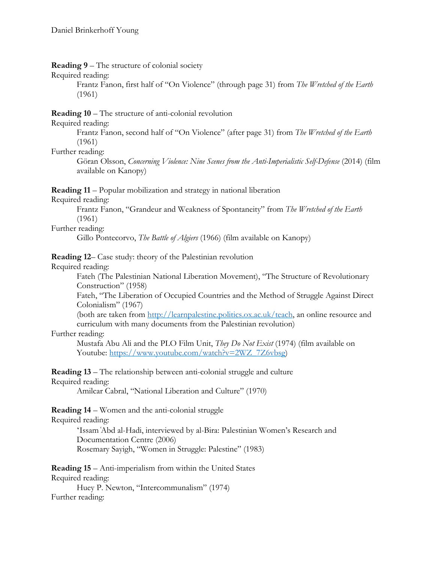**Reading 9** – The structure of colonial society

Required reading:

Frantz Fanon, first half of "On Violence" (through page 31) from *The Wretched of the Earth* (1961)

**Reading 10** – The structure of anti-colonial revolution

Required reading:

Frantz Fanon, second half of "On Violence" (after page 31) from *The Wretched of the Earth* (1961)

Further reading:

Göran Olsson, *Concerning Violence: Nine Scenes from the Anti-Imperialistic Self-Defense* (2014) (film available on Kanopy)

**Reading 11** – Popular mobilization and strategy in national liberation

Required reading:

Frantz Fanon, "Grandeur and Weakness of Spontaneity" from *The Wretched of the Earth* (1961)

Further reading:

Gillo Pontecorvo, *The Battle of Algiers* (1966) (film available on Kanopy)

**Reading 12**– Case study: theory of the Palestinian revolution

Required reading:

Fateh (The Palestinian National Liberation Movement), "The Structure of Revolutionary Construction" (1958)

Fateh, "The Liberation of Occupied Countries and the Method of Struggle Against Direct Colonialism" (1967)

(both are taken from http://learnpalestine.politics.ox.ac.uk/teach, an online resource and curriculum with many documents from the Palestinian revolution)

Further reading:

Mustafa Abu Ali and the PLO Film Unit, *They Do Not Exist* (1974) (film available on Youtube: https://www.youtube.com/watch?v=2WZ\_7Z6vbsg)

**Reading 13** – The relationship between anti-colonial struggle and culture Required reading:

Amilcar Cabral, "National Liberation and Culture" (1970)

**Reading 14** – Women and the anti-colonial struggle

Required reading:

'Issam ͑Abd al-Hadi, interviewed by al-Bira: Palestinian Women's Research and Documentation Centre (2006) Rosemary Sayigh, "Women in Struggle: Palestine" (1983)

**Reading 15** – Anti-imperialism from within the United States Required reading:

Huey P. Newton, "Intercommunalism" (1974) Further reading: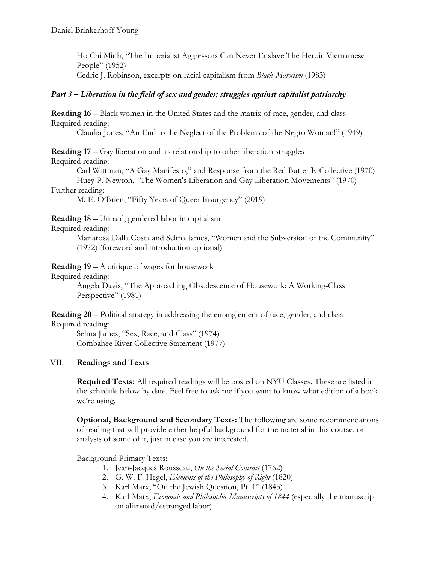Ho Chi Minh, "The Imperialist Aggressors Can Never Enslave The Heroic Vietnamese People" (1952) Cedric J. Robinson, excerpts on racial capitalism from *Black Marxism* (1983)

# *Part 3 – Liberation in the field of sex and gender; struggles against capitalist patriarchy*

**Reading 16** – Black women in the United States and the matrix of race, gender, and class Required reading:

Claudia Jones, "An End to the Neglect of the Problems of the Negro Woman!" (1949)

**Reading 17** – Gay liberation and its relationship to other liberation struggles Required reading:

Carl Wittman, "A Gay Manifesto," and Response from the Red Butterfly Collective (1970) Huey P. Newton, "The Women's Liberation and Gay Liberation Movements" (1970)

### Further reading:

M. E. O'Brien, "Fifty Years of Queer Insurgency" (2019)

**Reading 18** – Unpaid, gendered labor in capitalism

Required reading:

Mariarosa Dalla Costa and Selma James, "Women and the Subversion of the Community" (1972) (foreword and introduction optional)

**Reading 19** – A critique of wages for housework

Required reading:

Angela Davis, "The Approaching Obsolescence of Housework: A Working-Class Perspective" (1981)

**Reading 20** – Political strategy in addressing the entanglement of race, gender, and class Required reading:

Selma James, "Sex, Race, and Class" (1974) Combahee River Collective Statement (1977)

# VII. **Readings and Texts**

**Required Texts:** All required readings will be posted on NYU Classes. These are listed in the schedule below by date. Feel free to ask me if you want to know what edition of a book we're using.

**Optional, Background and Secondary Texts:** The following are some recommendations of reading that will provide either helpful background for the material in this course, or analysis of some of it, just in case you are interested.

Background Primary Texts:

- 1. Jean-Jacques Rousseau, *On the Social Contract* (1762)
- 2. G. W. F. Hegel, *Elements of the Philosophy of Right* (1820)
- 3. Karl Marx, "On the Jewish Question, Pt. 1" (1843)
- 4. Karl Marx, *Economic and Philosophic Manuscripts of 1844* (especially the manuscript on alienated/estranged labor)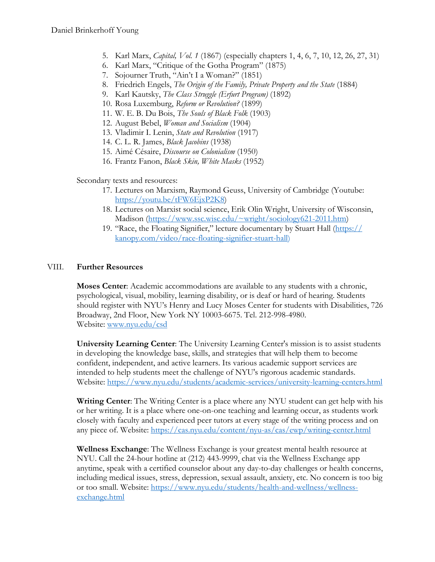- 5. Karl Marx, *Capital, Vol. 1* (1867) (especially chapters 1, 4, 6, 7, 10, 12, 26, 27, 31)
- 6. Karl Marx, "Critique of the Gotha Program" (1875)
- 7. Sojourner Truth, "Ain't I a Woman?" (1851)
- 8. Friedrich Engels, *The Origin of the Family, Private Property and the State* (1884)
- 9. Karl Kautsky, *The Class Struggle (Erfurt Program)* (1892)
- 10. Rosa Luxemburg, *Reform or Revolution?* (1899)
- 11. W. E. B. Du Bois, *The Souls of Black Folk* (1903)
- 12. August Bebel, *Woman and Socialism* (1904)
- 13. Vladimir I. Lenin, *State and Revolution* (1917)
- 14. C. L. R. James, *Black Jacobins* (1938)
- 15. Aimé Césaire, *Discourse on Colonialism* (1950)
- 16. Frantz Fanon, *Black Skin, White Masks* (1952)

Secondary texts and resources:

- 17. Lectures on Marxism, Raymond Geuss, University of Cambridge (Youtube: https://youtu.be/tFW6EjxP2K8)
- 18. Lectures on Marxist social science, Erik Olin Wright, University of Wisconsin, Madison (https://www.ssc.wisc.edu/~wright/sociology621-2011.htm)
- 19. "Race, the Floating Signifier," lecture documentary by Stuart Hall (https:// kanopy.com/video/race-floating-signifier-stuart-hall)

# VIII. **Further Resources**

**Moses Center**: Academic accommodations are available to any students with a chronic, psychological, visual, mobility, learning disability, or is deaf or hard of hearing. Students should register with NYU's Henry and Lucy Moses Center for students with Disabilities, 726 Broadway, 2nd Floor, New York NY 10003-6675. Tel. 212-998-4980. Website: www.nyu.edu/csd

**University Learning Center**: The University Learning Center's mission is to assist students in developing the knowledge base, skills, and strategies that will help them to become confident, independent, and active learners. Its various academic support services are intended to help students meet the challenge of NYU's rigorous academic standards. Website: https://www.nyu.edu/students/academic-services/university-learning-centers.html

**Writing Center**: The Writing Center is a place where any NYU student can get help with his or her writing. It is a place where one-on-one teaching and learning occur, as students work closely with faculty and experienced peer tutors at every stage of the writing process and on any piece of. Website: https://cas.nyu.edu/content/nyu-as/cas/ewp/writing-center.html

**Wellness Exchange**: The Wellness Exchange is your greatest mental health resource at NYU. Call the 24-hour hotline at (212) 443-9999, chat via the Wellness Exchange app anytime, speak with a certified counselor about any day-to-day challenges or health concerns, including medical issues, stress, depression, sexual assault, anxiety, etc. No concern is too big or too small. Website: https://www.nyu.edu/students/health-and-wellness/wellnessexchange.html